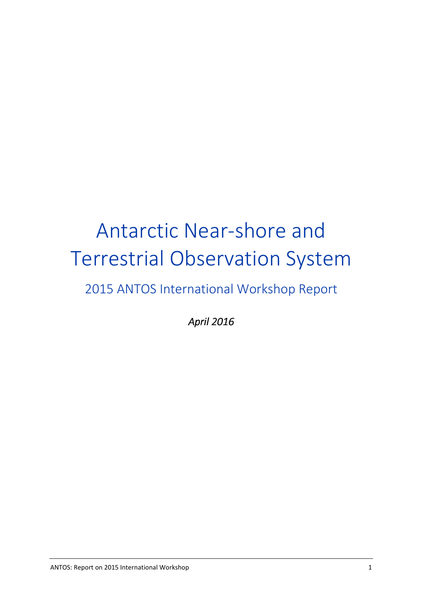# Antarctic Near-shore and Terrestrial Observation System 2015 ANTOS International Workshop Report

*April 2016 April 2016*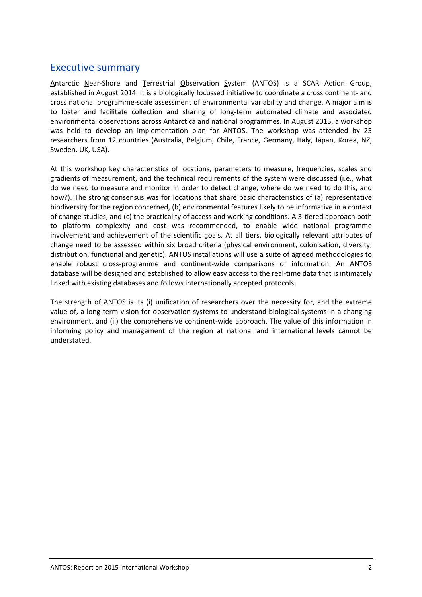## Executive summary

Antarctic Near-Shore and Terrestrial Observation System (ANTOS) is a SCAR Action Group, established in August 2014. It is a biologically focussed initiative to coordinate a cross continent- and cross national programme-scale assessment of environmental variability and change. A major aim is to foster and facilitate collection and sharing of long-term automated climate and associated environmental observations across Antarctica and national programmes. In August 2015, a workshop was held to develop an implementation plan for ANTOS. The workshop was attended by 25 researchers from 12 countries (Australia, Belgium, Chile, France, Germany, Italy, Japan, Korea, NZ, Sweden, UK, USA).

At this workshop key characteristics of locations, parameters to measure, frequencies, scales and gradients of measurement, and the technical requirements of the system were discussed (i.e., what do we need to measure and monitor in order to detect change, where do we need to do this, and how?). The strong consensus was for locations that share basic characteristics of (a) representative biodiversity for the region concerned, (b) environmental features likely to be informative in a context of change studies, and (c) the practicality of access and working conditions. A 3-tiered approach both to platform complexity and cost was recommended, to enable wide national programme involvement and achievement of the scientific goals. At all tiers, biologically relevant attributes of change need to be assessed within six broad criteria (physical environment, colonisation, diversity, distribution, functional and genetic). ANTOS installations will use a suite of agreed methodologies to enable robust cross-programme and continent-wide comparisons of information. An ANTOS database will be designed and established to allow easy access to the real-time data that is intimately linked with existing databases and follows internationally accepted protocols.

The strength of ANTOS is its (i) unification of researchers over the necessity for, and the extreme value of, a long-term vision for observation systems to understand biological systems in a changing environment, and (ii) the comprehensive continent-wide approach. The value of this information in informing policy and management of the region at national and international levels cannot be understated.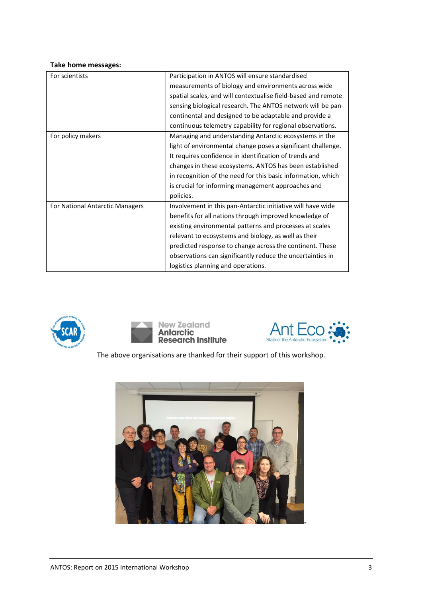#### **Take home messages:**

| For scientists                  | Participation in ANTOS will ensure standardised               |
|---------------------------------|---------------------------------------------------------------|
|                                 | measurements of biology and environments across wide          |
|                                 | spatial scales, and will contextualise field-based and remote |
|                                 | sensing biological research. The ANTOS network will be pan-   |
|                                 | continental and designed to be adaptable and provide a        |
|                                 | continuous telemetry capability for regional observations.    |
| For policy makers               | Managing and understanding Antarctic ecosystems in the        |
|                                 | light of environmental change poses a significant challenge.  |
|                                 | It requires confidence in identification of trends and        |
|                                 | changes in these ecosystems. ANTOS has been established       |
|                                 | in recognition of the need for this basic information, which  |
|                                 | is crucial for informing management approaches and            |
|                                 | policies.                                                     |
| For National Antarctic Managers | Involvement in this pan-Antarctic initiative will have wide   |
|                                 | benefits for all nations through improved knowledge of        |
|                                 | existing environmental patterns and processes at scales       |
|                                 | relevant to ecosystems and biology, as well as their          |
|                                 | predicted response to change across the continent. These      |
|                                 | observations can significantly reduce the uncertainties in    |
|                                 | logistics planning and operations.                            |







The above organisations are thanked for their support of this workshop.

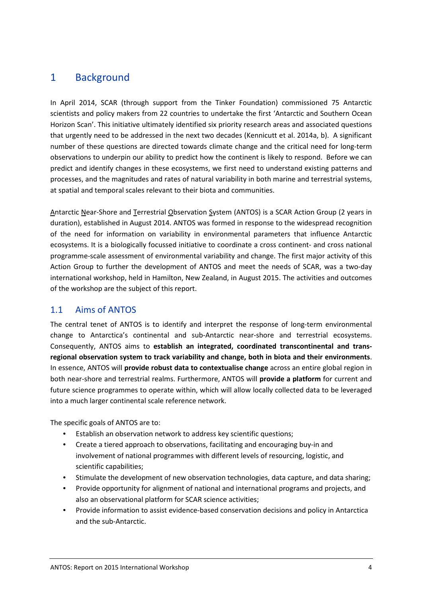## 1 Background

In April 2014, SCAR (through support from the Tinker Foundation) commissioned 75 Antarctic scientists and policy makers from 22 countries to undertake the first 'Antarctic and Southern Ocean Horizon Scan'. This initiative ultimately identified six priority research areas and associated questions that urgently need to be addressed in the next two decades (Kennicutt et al. 2014a, b). A significant number of these questions are directed towards climate change and the critical need for long-term observations to underpin our ability to predict how the continent is likely to respond. Before we can predict and identify changes in these ecosystems, we first need to understand existing patterns and processes, and the magnitudes and rates of natural variability in both marine and terrestrial systems, at spatial and temporal scales relevant to their biota and communities.

Antarctic Near-Shore and Terrestrial Observation System (ANTOS) is a SCAR Action Group (2 years in duration), established in August 2014. ANTOS was formed in response to the widespread recognition of the need for information on variability in environmental parameters that influence Antarctic ecosystems. It is a biologically focussed initiative to coordinate a cross continent- and cross national programme-scale assessment of environmental variability and change. The first major activity of this Action Group to further the development of ANTOS and meet the needs of SCAR, was a two-day international workshop, held in Hamilton, New Zealand, in August 2015. The activities and outcomes of the workshop are the subject of this report.

#### 1.1 Aims of ANTOS

The central tenet of ANTOS is to identify and interpret the response of long-term environmental change to Antarctica's continental and sub-Antarctic near-shore and terrestrial ecosystems. Consequently, ANTOS aims to **establish an integrated, coordinated transcontinental and transregional observation system to track variability and change, both in biota and their environments**. In essence, ANTOS will **provide robust data to contextualise change** across an entire global region in both near-shore and terrestrial realms. Furthermore, ANTOS will **provide a platform** for current and future science programmes to operate within, which will allow locally collected data to be leveraged into a much larger continental scale reference network.

The specific goals of ANTOS are to:

- Establish an observation network to address key scientific questions;
- Create a tiered approach to observations, facilitating and encouraging buy-in and involvement of national programmes with different levels of resourcing, logistic, and scientific capabilities;
- Stimulate the development of new observation technologies, data capture, and data sharing;
- Provide opportunity for alignment of national and international programs and projects, and also an observational platform for SCAR science activities;
- Provide information to assist evidence-based conservation decisions and policy in Antarctica and the sub-Antarctic.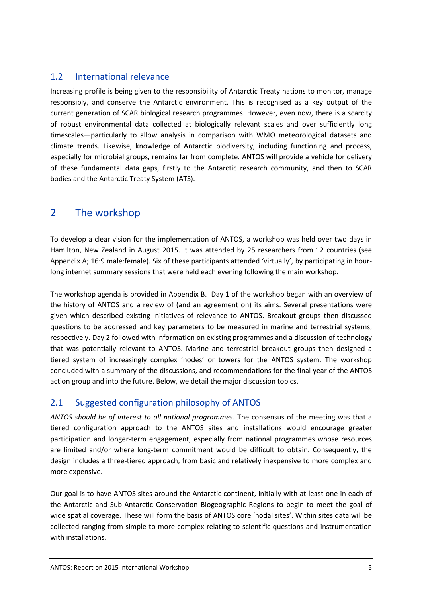#### 1.2 International relevance

Increasing profile is being given to the responsibility of Antarctic Treaty nations to monitor, manage responsibly, and conserve the Antarctic environment. This is recognised as a key output of the current generation of SCAR biological research programmes. However, even now, there is a scarcity of robust environmental data collected at biologically relevant scales and over sufficiently long timescales—particularly to allow analysis in comparison with WMO meteorological datasets and climate trends. Likewise, knowledge of Antarctic biodiversity, including functioning and process, especially for microbial groups, remains far from complete. ANTOS will provide a vehicle for delivery of these fundamental data gaps, firstly to the Antarctic research community, and then to SCAR bodies and the Antarctic Treaty System (ATS).

## 2 The workshop

To develop a clear vision for the implementation of ANTOS, a workshop was held over two days in Hamilton, New Zealand in August 2015. It was attended by 25 researchers from 12 countries (see Appendix A; 16:9 male:female). Six of these participants attended 'virtually', by participating in hourlong internet summary sessions that were held each evening following the main workshop.

The workshop agenda is provided in Appendix B. Day 1 of the workshop began with an overview of the history of ANTOS and a review of (and an agreement on) its aims. Several presentations were given which described existing initiatives of relevance to ANTOS. Breakout groups then discussed questions to be addressed and key parameters to be measured in marine and terrestrial systems, respectively. Day 2 followed with information on existing programmes and a discussion of technology that was potentially relevant to ANTOS. Marine and terrestrial breakout groups then designed a tiered system of increasingly complex 'nodes' or towers for the ANTOS system. The workshop concluded with a summary of the discussions, and recommendations for the final year of the ANTOS action group and into the future. Below, we detail the major discussion topics.

## 2.1 Suggested configuration philosophy of ANTOS

*ANTOS should be of interest to all national programmes*. The consensus of the meeting was that a tiered configuration approach to the ANTOS sites and installations would encourage greater participation and longer-term engagement, especially from national programmes whose resources are limited and/or where long-term commitment would be difficult to obtain. Consequently, the design includes a three-tiered approach, from basic and relatively inexpensive to more complex and more expensive.

Our goal is to have ANTOS sites around the Antarctic continent, initially with at least one in each of the Antarctic and Sub-Antarctic Conservation Biogeographic Regions to begin to meet the goal of wide spatial coverage. These will form the basis of ANTOS core 'nodal sites'. Within sites data will be collected ranging from simple to more complex relating to scientific questions and instrumentation with installations.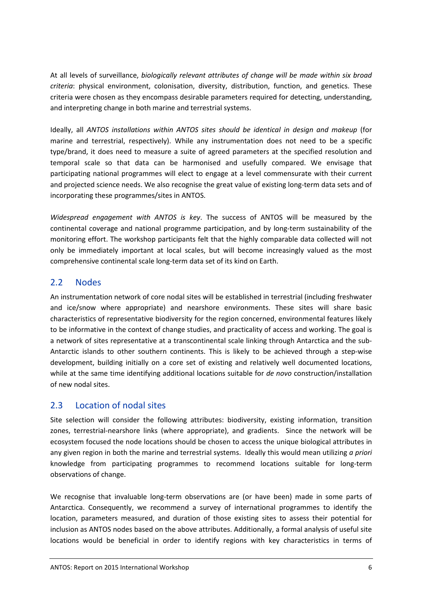At all levels of surveillance, *biologically relevant attributes of change will be made within six broad criteria*: physical environment, colonisation, diversity, distribution, function, and genetics. These criteria were chosen as they encompass desirable parameters required for detecting, understanding, and interpreting change in both marine and terrestrial systems.

Ideally, all *ANTOS installations within ANTOS sites should be identical in design and makeup* (for marine and terrestrial, respectively). While any instrumentation does not need to be a specific type/brand, it does need to measure a suite of agreed parameters at the specified resolution and temporal scale so that data can be harmonised and usefully compared. We envisage that participating national programmes will elect to engage at a level commensurate with their current and projected science needs. We also recognise the great value of existing long-term data sets and of incorporating these programmes/sites in ANTOS.

*Widespread engagement with ANTOS is key*. The success of ANTOS will be measured by the continental coverage and national programme participation, and by long-term sustainability of the monitoring effort. The workshop participants felt that the highly comparable data collected will not only be immediately important at local scales, but will become increasingly valued as the most comprehensive continental scale long-term data set of its kind on Earth.

#### 2.2 Nodes

An instrumentation network of core nodal sites will be established in terrestrial (including freshwater and ice/snow where appropriate) and nearshore environments. These sites will share basic characteristics of representative biodiversity for the region concerned, environmental features likely to be informative in the context of change studies, and practicality of access and working. The goal is a network of sites representative at a transcontinental scale linking through Antarctica and the sub-Antarctic islands to other southern continents. This is likely to be achieved through a step-wise development, building initially on a core set of existing and relatively well documented locations, while at the same time identifying additional locations suitable for *de novo* construction/installation of new nodal sites.

#### 2.3 Location of nodal sites

Site selection will consider the following attributes: biodiversity, existing information, transition zones, terrestrial-nearshore links (where appropriate), and gradients. Since the network will be ecosystem focused the node locations should be chosen to access the unique biological attributes in any given region in both the marine and terrestrial systems. Ideally this would mean utilizing *a priori* knowledge from participating programmes to recommend locations suitable for long-term observations of change.

We recognise that invaluable long-term observations are (or have been) made in some parts of Antarctica. Consequently, we recommend a survey of international programmes to identify the location, parameters measured, and duration of those existing sites to assess their potential for inclusion as ANTOS nodes based on the above attributes. Additionally, a formal analysis of useful site locations would be beneficial in order to identify regions with key characteristics in terms of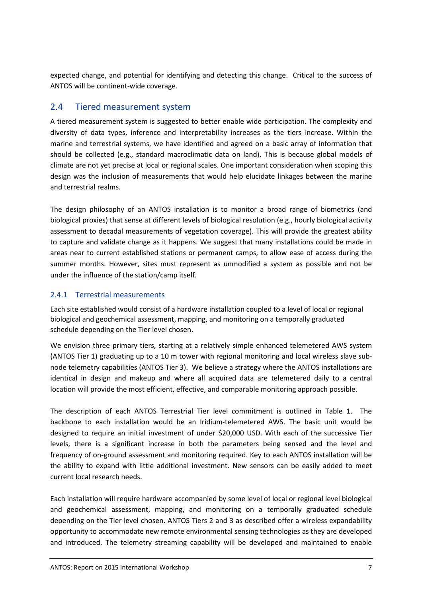expected change, and potential for identifying and detecting this change. Critical to the success of ANTOS will be continent-wide coverage.

#### 2.4 Tiered measurement system

A tiered measurement system is suggested to better enable wide participation. The complexity and diversity of data types, inference and interpretability increases as the tiers increase. Within the marine and terrestrial systems, we have identified and agreed on a basic array of information that should be collected (e.g., standard macroclimatic data on land). This is because global models of climate are not yet precise at local or regional scales. One important consideration when scoping this design was the inclusion of measurements that would help elucidate linkages between the marine and terrestrial realms.

The design philosophy of an ANTOS installation is to monitor a broad range of biometrics (and biological proxies) that sense at different levels of biological resolution (e.g., hourly biological activity assessment to decadal measurements of vegetation coverage). This will provide the greatest ability to capture and validate change as it happens. We suggest that many installations could be made in areas near to current established stations or permanent camps, to allow ease of access during the summer months. However, sites must represent as unmodified a system as possible and not be under the influence of the station/camp itself.

#### 2.4.1 Terrestrial measurements

Each site established would consist of a hardware installation coupled to a level of local or regional biological and geochemical assessment, mapping, and monitoring on a temporally graduated schedule depending on the Tier level chosen.

We envision three primary tiers, starting at a relatively simple enhanced telemetered AWS system (ANTOS Tier 1) graduating up to a 10 m tower with regional monitoring and local wireless slave subnode telemetry capabilities (ANTOS Tier 3). We believe a strategy where the ANTOS installations are identical in design and makeup and where all acquired data are telemetered daily to a central location will provide the most efficient, effective, and comparable monitoring approach possible.

The description of each ANTOS Terrestrial Tier level commitment is outlined in Table 1. The backbone to each installation would be an Iridium-telemetered AWS. The basic unit would be designed to require an initial investment of under \$20,000 USD. With each of the successive Tier levels, there is a significant increase in both the parameters being sensed and the level and frequency of on-ground assessment and monitoring required. Key to each ANTOS installation will be the ability to expand with little additional investment. New sensors can be easily added to meet current local research needs.

Each installation will require hardware accompanied by some level of local or regional level biological and geochemical assessment, mapping, and monitoring on a temporally graduated schedule depending on the Tier level chosen. ANTOS Tiers 2 and 3 as described offer a wireless expandability opportunity to accommodate new remote environmental sensing technologies as they are developed and introduced. The telemetry streaming capability will be developed and maintained to enable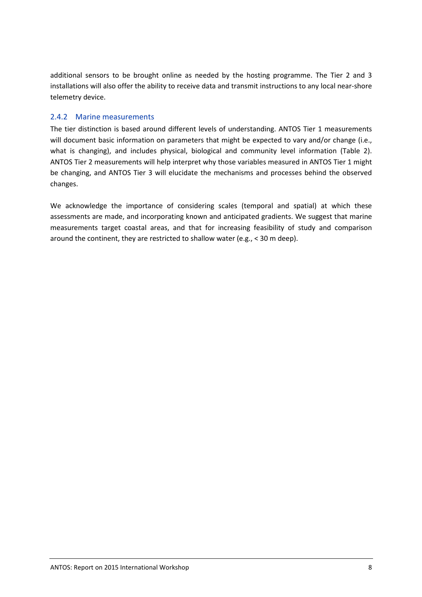additional sensors to be brought online as needed by the hosting programme. The Tier 2 and 3 installations will also offer the ability to receive data and transmit instructions to any local near-shore telemetry device.

#### 2.4.2 Marine measurements

The tier distinction is based around different levels of understanding. ANTOS Tier 1 measurements will document basic information on parameters that might be expected to vary and/or change (i.e., what is changing), and includes physical, biological and community level information (Table 2). ANTOS Tier 2 measurements will help interpret why those variables measured in ANTOS Tier 1 might be changing, and ANTOS Tier 3 will elucidate the mechanisms and processes behind the observed changes.

We acknowledge the importance of considering scales (temporal and spatial) at which these assessments are made, and incorporating known and anticipated gradients. We suggest that marine measurements target coastal areas, and that for increasing feasibility of study and comparison around the continent, they are restricted to shallow water (e.g., < 30 m deep).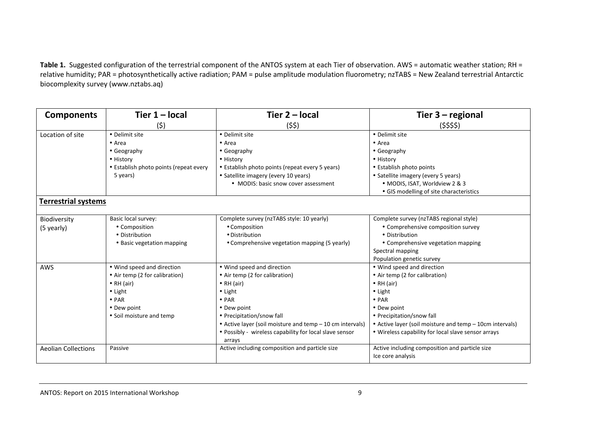Table 1. Suggested configuration of the terrestrial component of the ANTOS system at each Tier of observation. AWS = automatic weather station; RH = relative humidity; PAR = photosynthetically active radiation; PAM = pulse amplitude modulation fluorometry; nzTABS = New Zealand terrestrial Antarctic biocomplexity survey (www.nztabs.aq)

| <b>Components</b>          | Tier $1 -$ local                       | Tier $2 - local$                                                  | Tier $3 -$ regional                                      |
|----------------------------|----------------------------------------|-------------------------------------------------------------------|----------------------------------------------------------|
|                            | (5)                                    | (\$\$)                                                            | $($ \$\$\$)                                              |
| Location of site           | • Delimit site                         | • Delimit site                                                    | • Delimit site                                           |
|                            | $\bullet$ Area                         | $\bullet$ Area                                                    | $\bullet$ Area                                           |
|                            | • Geography                            | • Geography                                                       | • Geography                                              |
|                            | • History                              | • History                                                         | · History                                                |
|                            | • Establish photo points (repeat every | • Establish photo points (repeat every 5 years)                   | • Establish photo points                                 |
|                            | 5 years)                               | • Satellite imagery (every 10 years)                              | • Satellite imagery (every 5 years)                      |
|                            |                                        | • MODIS: basic snow cover assessment                              | • MODIS, ISAT, Worldview 2 & 3                           |
|                            |                                        |                                                                   | • GIS modelling of site characteristics                  |
| <b>Terrestrial systems</b> |                                        |                                                                   |                                                          |
| Biodiversity               | Basic local survey:                    | Complete survey (nzTABS style: 10 yearly)                         | Complete survey (nzTABS regional style)                  |
| (5 yearly)                 | • Composition                          | • Composition                                                     | • Comprehensive composition survey                       |
|                            | • Distribution                         | • Distribution                                                    | • Distribution                                           |
|                            | • Basic vegetation mapping             | • Comprehensive vegetation mapping (5 yearly)                     | • Comprehensive vegetation mapping                       |
|                            |                                        |                                                                   | Spectral mapping                                         |
|                            |                                        |                                                                   | Population genetic survey                                |
| AWS                        | • Wind speed and direction             | • Wind speed and direction                                        | • Wind speed and direction                               |
|                            | • Air temp (2 for calibration)         | • Air temp (2 for calibration)                                    | • Air temp (2 for calibration)                           |
|                            | $\bullet$ RH (air)                     | $\bullet$ RH (air)                                                | $\bullet$ RH (air)                                       |
|                            | $\bullet$ Light                        | $\bullet$ Light                                                   | $\bullet$ Light                                          |
|                            | $\bullet$ PAR                          | $\bullet$ PAR                                                     | $\bullet$ PAR                                            |
|                            | • Dew point                            | • Dew point                                                       | • Dew point                                              |
|                            | • Soil moisture and temp               | • Precipitation/snow fall                                         | • Precipitation/snow fall                                |
|                            |                                        | • Active layer (soil moisture and temp - 10 cm intervals)         | • Active layer (soil moisture and temp - 10cm intervals) |
|                            |                                        | • Possibly - wireless capability for local slave sensor<br>arrays | • Wireless capability for local slave sensor arrays      |
| <b>Aeolian Collections</b> | Passive                                | Active including composition and particle size                    | Active including composition and particle size           |
|                            |                                        |                                                                   | Ice core analysis                                        |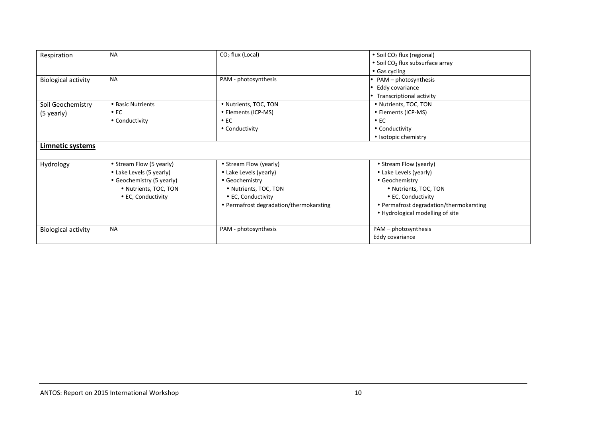| Respiration                | <b>NA</b>                 | $CO2$ flux (Local)                      | • Soil $CO2$ flux (regional)            |
|----------------------------|---------------------------|-----------------------------------------|-----------------------------------------|
|                            |                           |                                         | • Soil $CO2$ flux subsurface array      |
|                            |                           |                                         | $\bullet$ Gas cycling                   |
| <b>Biological activity</b> | <b>NA</b>                 | PAM - photosynthesis                    | • $PAM - photosynthesis$                |
|                            |                           |                                         | $\bullet$ Eddy covariance               |
|                            |                           |                                         | $\bullet$ Transcriptional activity      |
| Soil Geochemistry          | • Basic Nutrients         | • Nutrients, TOC, TON                   | • Nutrients, TOC, TON                   |
| (5 yearly)                 | $\bullet$ EC              | • Elements (ICP-MS)                     | • Elements (ICP-MS)                     |
|                            | • Conductivity            | $\bullet$ EC                            | $\bullet$ EC                            |
|                            |                           | • Conductivity                          | • Conductivity                          |
|                            |                           |                                         | • Isotopic chemistry                    |
| Limnetic systems           |                           |                                         |                                         |
|                            |                           |                                         |                                         |
| Hydrology                  | • Stream Flow (5 yearly)  | • Stream Flow (yearly)                  | • Stream Flow (yearly)                  |
|                            | • Lake Levels (5 yearly)  | • Lake Levels (yearly)                  | • Lake Levels (yearly)                  |
|                            | • Geochemistry (5 yearly) | • Geochemistry                          | • Geochemistry                          |
|                            | • Nutrients, TOC, TON     | • Nutrients, TOC, TON                   | • Nutrients, TOC, TON                   |
|                            | • EC, Conductivity        | • EC, Conductivity                      | • EC, Conductivity                      |
|                            |                           | • Permafrost degradation/thermokarsting | • Permafrost degradation/thermokarsting |
|                            |                           |                                         | • Hydrological modelling of site        |
|                            |                           |                                         |                                         |
| <b>Biological activity</b> | <b>NA</b>                 | PAM - photosynthesis                    | PAM - photosynthesis                    |
|                            |                           |                                         | Eddy covariance                         |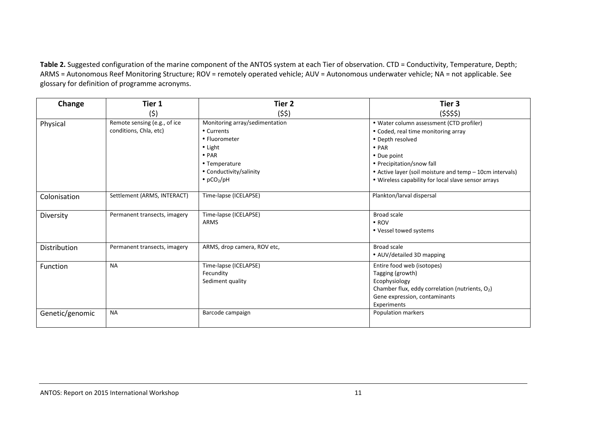Table 2. Suggested configuration of the marine component of the ANTOS system at each Tier of observation. CTD = Conductivity, Temperature, Depth; ARMS = Autonomous Reef Monitoring Structure; ROV = remotely operated vehicle; AUV = Autonomous underwater vehicle; NA = not applicable. See glossary for definition of programme acronyms.

| Change          | Tier 1                       | Tier <sub>2</sub>                                      | Tier 3                                                                                                                                                            |
|-----------------|------------------------------|--------------------------------------------------------|-------------------------------------------------------------------------------------------------------------------------------------------------------------------|
|                 | (\$)                         | (55)                                                   | $($ \$\$\$)                                                                                                                                                       |
| Physical        | Remote sensing (e.g., of ice | Monitoring array/sedimentation                         | • Water column assessment (CTD profiler)                                                                                                                          |
|                 | conditions, Chla, etc)       | • Currents                                             | • Coded, real time monitoring array                                                                                                                               |
|                 |                              | • Fluorometer                                          | • Depth resolved                                                                                                                                                  |
|                 |                              | $\bullet$ Light                                        | $\bullet$ PAR                                                                                                                                                     |
|                 |                              | $\bullet$ PAR                                          | • Due point                                                                                                                                                       |
|                 |                              | • Temperature                                          | • Precipitation/snow fall                                                                                                                                         |
|                 |                              | • Conductivity/salinity                                | • Active layer (soil moisture and temp - 10cm intervals)                                                                                                          |
|                 |                              | $\bullet$ pCO <sub>2</sub> /pH                         | • Wireless capability for local slave sensor arrays                                                                                                               |
| Colonisation    | Settlement (ARMS, INTERACT)  | Time-lapse (ICELAPSE)                                  | Plankton/larval dispersal                                                                                                                                         |
| Diversity       | Permanent transects, imagery | Time-lapse (ICELAPSE)<br><b>ARMS</b>                   | <b>Broad scale</b><br>$\bullet$ ROV<br>• Vessel towed systems                                                                                                     |
| Distribution    | Permanent transects, imagery | ARMS, drop camera, ROV etc,                            | <b>Broad scale</b><br>• AUV/detailed 3D mapping                                                                                                                   |
| Function        | <b>NA</b>                    | Time-lapse (ICELAPSE)<br>Fecundity<br>Sediment quality | Entire food web (isotopes)<br>Tagging (growth)<br>Ecophysiology<br>Chamber flux, eddy correlation (nutrients, O2)<br>Gene expression, contaminants<br>Experiments |
| Genetic/genomic | <b>NA</b>                    | Barcode campaign                                       | Population markers                                                                                                                                                |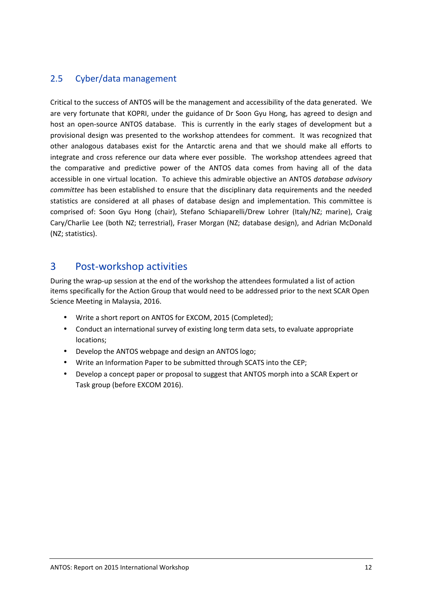#### 2.5 Cyber/data management

Critical to the success of ANTOS will be the management and accessibility of the data generated. We are very fortunate that KOPRI, under the guidance of Dr Soon Gyu Hong, has agreed to design and host an open-source ANTOS database. This is currently in the early stages of development but a provisional design was presented to the workshop attendees for comment. It was recognized that other analogous databases exist for the Antarctic arena and that we should make all efforts to integrate and cross reference our data where ever possible. The workshop attendees agreed that the comparative and predictive power of the ANTOS data comes from having all of the data accessible in one virtual location. To achieve this admirable objective an ANTOS *database advisory committee* has been established to ensure that the disciplinary data requirements and the needed statistics are considered at all phases of database design and implementation. This committee is comprised of: Soon Gyu Hong (chair), Stefano Schiaparelli/Drew Lohrer (Italy/NZ; marine), Craig Cary/Charlie Lee (both NZ; terrestrial), Fraser Morgan (NZ; database design), and Adrian McDonald (NZ; statistics).

## 3 Post-workshop activities

During the wrap-up session at the end of the workshop the attendees formulated a list of action items specifically for the Action Group that would need to be addressed prior to the next SCAR Open Science Meeting in Malaysia, 2016.

- Write a short report on ANTOS for EXCOM, 2015 (Completed);
- Conduct an international survey of existing long term data sets, to evaluate appropriate locations;
- Develop the ANTOS webpage and design an ANTOS logo;
- Write an Information Paper to be submitted through SCATS into the CEP;
- Develop a concept paper or proposal to suggest that ANTOS morph into a SCAR Expert or Task group (before EXCOM 2016).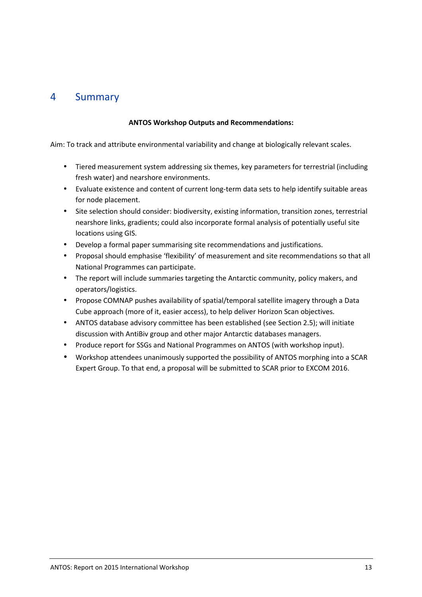## 4 Summary

#### **ANTOS Workshop Outputs and Recommendations:**

Aim: To track and attribute environmental variability and change at biologically relevant scales.

- Tiered measurement system addressing six themes, key parameters for terrestrial (including fresh water) and nearshore environments.
- Evaluate existence and content of current long-term data sets to help identify suitable areas for node placement.
- Site selection should consider: biodiversity, existing information, transition zones, terrestrial nearshore links, gradients; could also incorporate formal analysis of potentially useful site locations using GIS.
- Develop a formal paper summarising site recommendations and justifications.
- Proposal should emphasise 'flexibility' of measurement and site recommendations so that all National Programmes can participate.
- The report will include summaries targeting the Antarctic community, policy makers, and operators/logistics.
- Propose COMNAP pushes availability of spatial/temporal satellite imagery through a Data Cube approach (more of it, easier access), to help deliver Horizon Scan objectives.
- ANTOS database advisory committee has been established (see Section 2.5); will initiate discussion with AntiBiv group and other major Antarctic databases managers.
- Produce report for SSGs and National Programmes on ANTOS (with workshop input).
- Workshop attendees unanimously supported the possibility of ANTOS morphing into a SCAR Expert Group. To that end, a proposal will be submitted to SCAR prior to EXCOM 2016.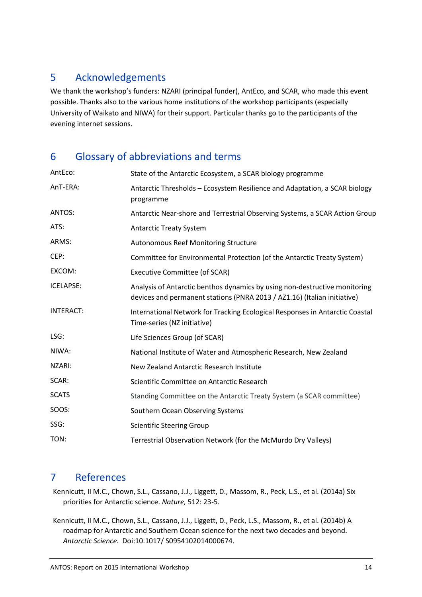## 5 Acknowledgements

We thank the workshop's funders: NZARI (principal funder), AntEco, and SCAR, who made this event possible. Thanks also to the various home institutions of the workshop participants (especially University of Waikato and NIWA) for their support. Particular thanks go to the participants of the evening internet sessions.

## 6 Glossary of abbreviations and terms

| AntEco:          | State of the Antarctic Ecosystem, a SCAR biology programme                                                                                             |
|------------------|--------------------------------------------------------------------------------------------------------------------------------------------------------|
| AnT-ERA:         | Antarctic Thresholds – Ecosystem Resilience and Adaptation, a SCAR biology<br>programme                                                                |
| ANTOS:           | Antarctic Near-shore and Terrestrial Observing Systems, a SCAR Action Group                                                                            |
| ATS:             | <b>Antarctic Treaty System</b>                                                                                                                         |
| ARMS:            | <b>Autonomous Reef Monitoring Structure</b>                                                                                                            |
| CEP:             | Committee for Environmental Protection (of the Antarctic Treaty System)                                                                                |
| EXCOM:           | <b>Executive Committee (of SCAR)</b>                                                                                                                   |
| ICELAPSE:        | Analysis of Antarctic benthos dynamics by using non-destructive monitoring<br>devices and permanent stations (PNRA 2013 / AZ1.16) (Italian initiative) |
| <b>INTERACT:</b> | International Network for Tracking Ecological Responses in Antarctic Coastal<br>Time-series (NZ initiative)                                            |
| LSG:             | Life Sciences Group (of SCAR)                                                                                                                          |
| NIWA:            | National Institute of Water and Atmospheric Research, New Zealand                                                                                      |
| NZARI:           | New Zealand Antarctic Research Institute                                                                                                               |
| SCAR:            | Scientific Committee on Antarctic Research                                                                                                             |
| <b>SCATS</b>     | Standing Committee on the Antarctic Treaty System (a SCAR committee)                                                                                   |
| SOOS:            | Southern Ocean Observing Systems                                                                                                                       |
| SSG:             | <b>Scientific Steering Group</b>                                                                                                                       |
| TON:             | Terrestrial Observation Network (for the McMurdo Dry Valleys)                                                                                          |

## 7 References

Kennicutt, II M.C., Chown, S.L., Cassano, J.J., Liggett, D., Massom, R., Peck, L.S., et al. (2014a) Six priorities for Antarctic science. *Nature,* 512: 23-5.

Kennicutt, II M.C., Chown, S.L., Cassano, J.J., Liggett, D., Peck, L.S., Massom, R., et al. (2014b) A roadmap for Antarctic and Southern Ocean science for the next two decades and beyond. *Antarctic Science.* Doi:10.1017/ S0954102014000674.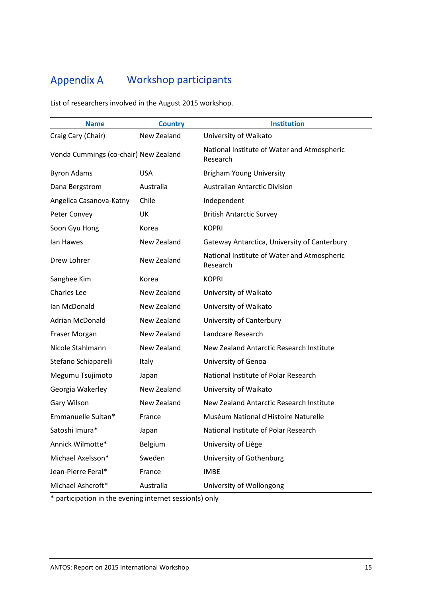## Appendix A Workshop participants

List of researchers involved in the August 2015 workshop.

| <b>Name</b>                           | <b>Country</b> | <b>Institution</b>                                      |
|---------------------------------------|----------------|---------------------------------------------------------|
| Craig Cary (Chair)                    | New Zealand    | University of Waikato                                   |
| Vonda Cummings (co-chair) New Zealand |                | National Institute of Water and Atmospheric<br>Research |
| <b>Byron Adams</b>                    | <b>USA</b>     | <b>Brigham Young University</b>                         |
| Dana Bergstrom                        | Australia      | <b>Australian Antarctic Division</b>                    |
| Angelica Casanova-Katny               | Chile          | Independent                                             |
| Peter Convey                          | UK             | <b>British Antarctic Survey</b>                         |
| Soon Gyu Hong                         | Korea          | <b>KOPRI</b>                                            |
| lan Hawes                             | New Zealand    | Gateway Antarctica, University of Canterbury            |
| Drew Lohrer                           | New Zealand    | National Institute of Water and Atmospheric<br>Research |
| Sanghee Kim                           | Korea          | <b>KOPRI</b>                                            |
| <b>Charles Lee</b>                    | New Zealand    | University of Waikato                                   |
| Ian McDonald                          | New Zealand    | University of Waikato                                   |
| Adrian McDonald                       | New Zealand    | University of Canterbury                                |
| Fraser Morgan                         | New Zealand    | Landcare Research                                       |
| Nicole Stahlmann                      | New Zealand    | New Zealand Antarctic Research Institute                |
| Stefano Schiaparelli                  | Italy          | University of Genoa                                     |
| Megumu Tsujimoto                      | Japan          | National Institute of Polar Research                    |
| Georgia Wakerley                      | New Zealand    | University of Waikato                                   |
| Gary Wilson                           | New Zealand    | New Zealand Antarctic Research Institute                |
| Emmanuelle Sultan*                    | France         | Muséum National d'Histoire Naturelle                    |
| Satoshi Imura*                        | Japan          | National Institute of Polar Research                    |
| Annick Wilmotte*                      | Belgium        | University of Liège                                     |
| Michael Axelsson*                     | Sweden         | University of Gothenburg                                |
| Jean-Pierre Feral*                    | France         | <b>IMBE</b>                                             |
| Michael Ashcroft*                     | Australia      | University of Wollongong                                |

\* participation in the evening internet session(s) only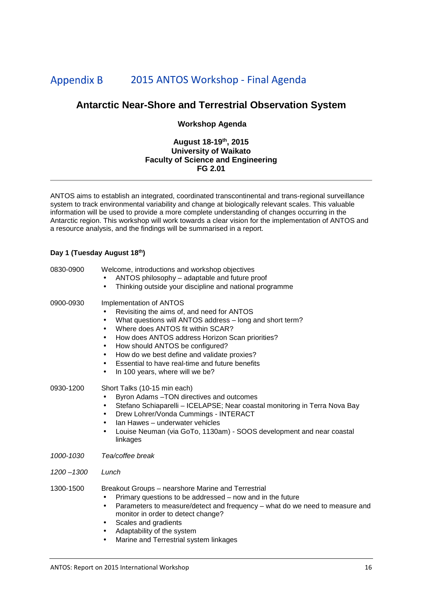#### **Appendix B** 2015 ANTOS Workshop - Final Agenda

#### **Antarctic Near-Shore and Terrestrial Observation System**

#### **Workshop Agenda**

#### **August 18-19th, 2015 University of Waikato Faculty of Science and Engineering FG 2.01**

ANTOS aims to establish an integrated, coordinated transcontinental and trans-regional surveillance system to track environmental variability and change at biologically relevant scales. This valuable information will be used to provide a more complete understanding of changes occurring in the Antarctic region. This workshop will work towards a clear vision for the implementation of ANTOS and a resource analysis, and the findings will be summarised in a report.

#### **Day 1 (Tuesday August 18th)**

| Welcome, introductions and workshop objectives<br>ANTOS philosophy - adaptable and future proof<br>Thinking outside your discipline and national programme<br>$\bullet$                                                                                                                                                                                                                                                                                                                   |
|-------------------------------------------------------------------------------------------------------------------------------------------------------------------------------------------------------------------------------------------------------------------------------------------------------------------------------------------------------------------------------------------------------------------------------------------------------------------------------------------|
| Implementation of ANTOS<br>Revisiting the aims of, and need for ANTOS<br>$\bullet$<br>What questions will ANTOS address - long and short term?<br>$\bullet$<br>Where does ANTOS fit within SCAR?<br>$\bullet$<br>How does ANTOS address Horizon Scan priorities?<br>$\bullet$<br>How should ANTOS be configured?<br>٠<br>How do we best define and validate proxies?<br>$\bullet$<br>Essential to have real-time and future benefits<br>$\bullet$<br>In 100 years, where will we be?<br>٠ |
| Short Talks (10-15 min each)<br>Byron Adams - TON directives and outcomes<br>$\bullet$<br>Stefano Schiaparelli - ICELAPSE; Near coastal monitoring in Terra Nova Bay<br>$\bullet$<br>Drew Lohrer/Vonda Cummings - INTERACT<br>٠<br>Ian Hawes - underwater vehicles<br>$\bullet$<br>Louise Neuman (via GoTo, 1130am) - SOOS development and near coastal<br>$\bullet$<br>linkages                                                                                                          |
| Tea/coffee break                                                                                                                                                                                                                                                                                                                                                                                                                                                                          |
| Lunch                                                                                                                                                                                                                                                                                                                                                                                                                                                                                     |
| Breakout Groups – nearshore Marine and Terrestrial<br>Primary questions to be addressed - now and in the future<br>٠<br>Parameters to measure/detect and frequency - what do we need to measure and<br>$\bullet$<br>monitor in order to detect change?<br>Scales and gradients<br>٠<br>Adaptability of the system<br>٠<br>Marine and Terrestrial system linkages<br>٠                                                                                                                     |
|                                                                                                                                                                                                                                                                                                                                                                                                                                                                                           |